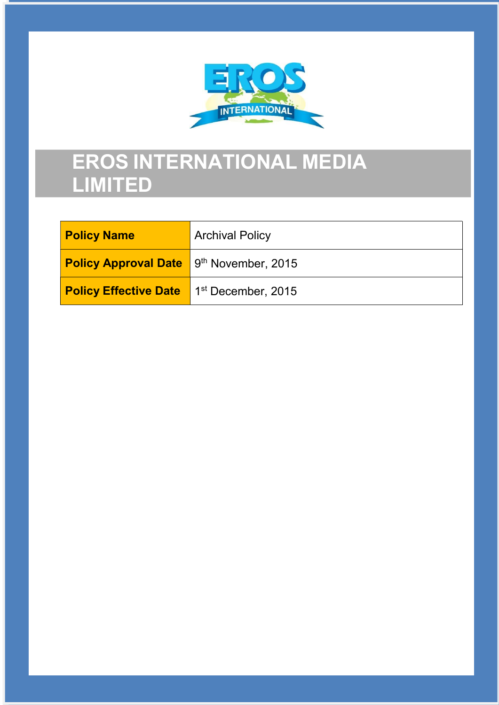

# EROS INTERNATIONAL MEDIA LIMITED

| <b>Policy Name</b>                                          | <b>Archival Policy</b> |
|-------------------------------------------------------------|------------------------|
| <b>Policy Approval Date</b> 9 <sup>th</sup> November, 2015  |                        |
| <b>Policy Effective Date</b> 1 <sup>st</sup> December, 2015 |                        |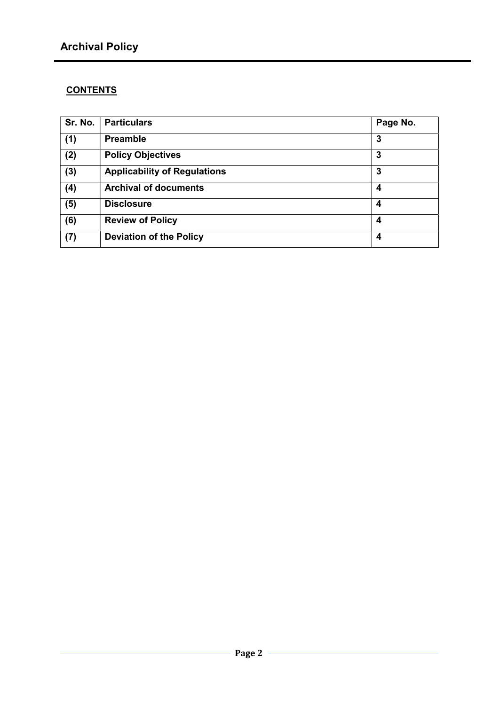## **CONTENTS**

| Sr. No. | <b>Particulars</b>                  | Page No. |
|---------|-------------------------------------|----------|
| (1)     | <b>Preamble</b>                     | 3        |
| (2)     | <b>Policy Objectives</b>            | 3        |
| (3)     | <b>Applicability of Regulations</b> | 3        |
| (4)     | <b>Archival of documents</b>        | 4        |
| (5)     | <b>Disclosure</b>                   | 4        |
| (6)     | <b>Review of Policy</b>             | 4        |
| (7)     | <b>Deviation of the Policy</b>      | 4        |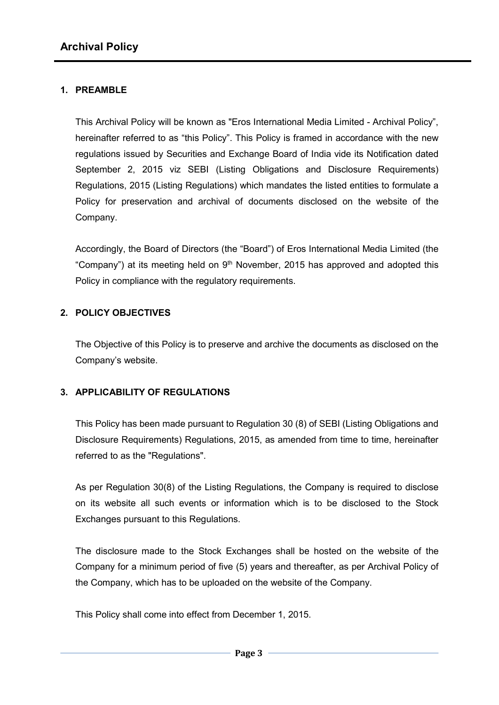## 1. PREAMBLE

This Archival Policy will be known as "Eros International Media Limited - Archival Policy", hereinafter referred to as "this Policy". This Policy is framed in accordance with the new regulations issued by Securities and Exchange Board of India vide its Notification dated September 2, 2015 viz SEBI (Listing Obligations and Disclosure Requirements) Regulations, 2015 (Listing Regulations) which mandates the listed entities to formulate a Policy for preservation and archival of documents disclosed on the website of the Company.

Accordingly, the Board of Directors (the "Board") of Eros International Media Limited (the "Company") at its meeting held on  $9<sup>th</sup>$  November, 2015 has approved and adopted this Policy in compliance with the regulatory requirements.

## 2. POLICY OBJECTIVES

The Objective of this Policy is to preserve and archive the documents as disclosed on the Company's website.

## 3. APPLICABILITY OF REGULATIONS

This Policy has been made pursuant to Regulation 30 (8) of SEBI (Listing Obligations and Disclosure Requirements) Regulations, 2015, as amended from time to time, hereinafter referred to as the "Regulations".

As per Regulation 30(8) of the Listing Regulations, the Company is required to disclose on its website all such events or information which is to be disclosed to the Stock Exchanges pursuant to this Regulations.

The disclosure made to the Stock Exchanges shall be hosted on the website of the Company for a minimum period of five (5) years and thereafter, as per Archival Policy of the Company, which has to be uploaded on the website of the Company.

This Policy shall come into effect from December 1, 2015.